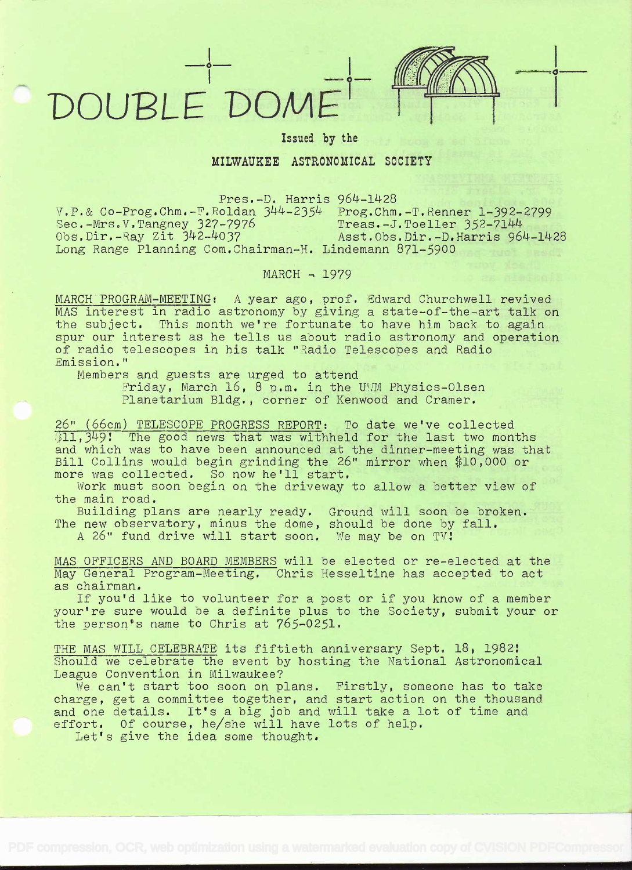## DOUPLE'DOME



Issued by the

## MILWAUKEE ASTRONOMICAL SOCIETY

Pres.-D. Harris 964-1428

 $V.P.$ & Co-Prog.Chm.-T.Roldan  $344-2354$  Prog.Chm.-T.Renner 1-392-2799<br>Sec.-Mrs.V.Tangney 327-7976 Treas.-J.Toeller 352-7144  $\frac{1}{327-7976}$  Treas.-J.Toeller  $352-7144$ Obs.Dir.-Ray Zit 342-4037 Asst.Obs.Dir.-D.Harris 964-1428 Obs.Dir.-Ray Zit 342-4037 (asst.Obs.Dir.-D.Harris 964-1428)<br>Long Range Planning Com.Chairman-H. Lindemann 871-5900

MARCH - 1979

MARCH PROGRAM-MEETING: A year ago, prof. Fdward Churchwell revived MAS interest in radio astronomy by giving a state-of-the-art talk on the subject. This month we're fortunate to have him back to again spur our interest as he tells us about radio astronomy and operation<br>of radio telescopes in his talk "Radio Telescopes and Radio Emission."

Members and guests are urged to attend<br>Friday, March 16, 8 p.m. in the UWM Physics-Olsen Planetarium Bldg., corner of Kenwood and Cramer.

26" (66cm) TELESCOPE PROGRESS REPORT: To date we've collected  $[11,349]$ . The good news that was withheld for the last two months and which was to have been announced at the dinner-meeting was that Bill Collins would begin grinding the 26" mirror when \$10,000 or more was collected. So now he'll start,

Work must soon begin on the driveway to allow a better view of the main road.

Building plans are nearly ready. Ground will soon be broken. The new observatory, minus the dome, should be done by fall.

A 26" fund drive will start soon. We may be on TV!

MAS OFFICERS AND BOARD MEMBERS will be elected or re-elected at the May General Program-Meeting. Chris Hesseltine has accepted to act

If you'd like to volunteer for a post or if you know of a member your're sure would be a definite plus to the Society, submit your or the person's name to Chris at 765-0251.

THE MAS WILL CELEBRATE its fiftieth anniversary Sept. 18, 1982:<br>Should we celebrate the event by hosting the National Astronomical League Convention in Milwaukee? Should we celebrate the event by hosting the National Astronomical

gue convention in milwaukee:<br>We can't start too soon on plans. Firstly, someone has to take we can t start too soon on plans. Firstly, someone has to take effort. Of course, he/she will have lots of help.<br>Let's give the idea some thought. and one details. It's a big job and will take a lot of time and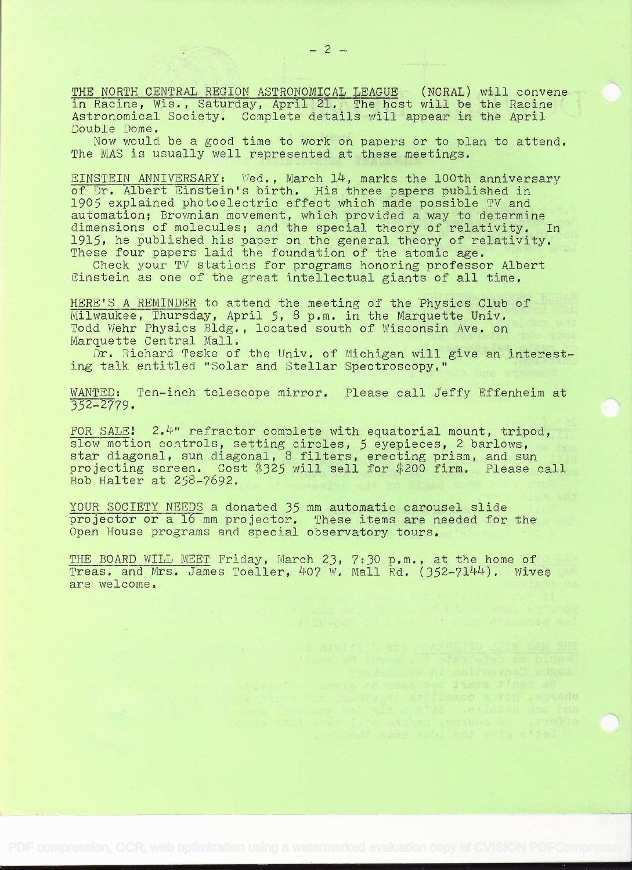THE NORTH CENTRAL REGION ASTRONOMICAL LEAGUE (NCRAL) will convene in Racine, Wis., Saturday, April 21, The host will be the Racine Astronomical Society. Complete details will appear in the April Double Dome.

Now would be a good time to work on papers or to plan to attend, The MAS is usually well represented at these meetings.

EINSTEIN ANNIVERSARY: Wed., March 14, marks the 100th anniversary of Dr. Albert Einstein's birth. His three papers published in 1905 explained photoelectric effect which made possible TV and automation; Brownian movement, which provided a way to determine dimensions of molecules; and the special theory of relativity. In 1915, he published his paper on the general theory oÍ relativity. These four papers laid the foundation of the atomic age.

Check your TV stations for programs honoring professor Albert Einstein as one of the great intellectual giants of all time.

HERE'S A REMINDER to attend the meeting of the Physics Club of Milwaukee, Thursday, April 5, 8 p.m. in the Marquette Univ. Todd Wehr Physics Bldg., located south of Wisconsin Ave. on Marquette Central Mall.

Dr. Richard Teske of the Univ. of Michigan will give an interesting talk entitled "Solar and Stellar Spectroscopy."

WANTED: Ten-inch telescope mirror. Please call Jeffy Effenheim at 32-2779.

FOR SALE:  $2.4$ " refractor complete with equatorial mount, tripod, slow motion controls, setting circles, 5 eyepieces, 2 barlows, star diagonal, sun diagonal, 8 filters, erecting prism, and sun projecting screen. Cost \$325 will sell for \$200 firm. Please call Bob Halter at 258-7692.

YOUR SOCIETY NEEDS a donated 35 mm automatic carousel slide projector or a 16 mm projector. These items are needed for the Open House programs and special observatory tours.

THE BOARD WILL MEET Friday, March 23, 7:30 p.m., at the home of Treas. and Mrs. James Toeller, 407 W. Mall Rd. (352-7144). Wives are welcome.

> are le an tinge per Jus. e i peo ev encies. git a committee together.

whenout enos wond and sull atout